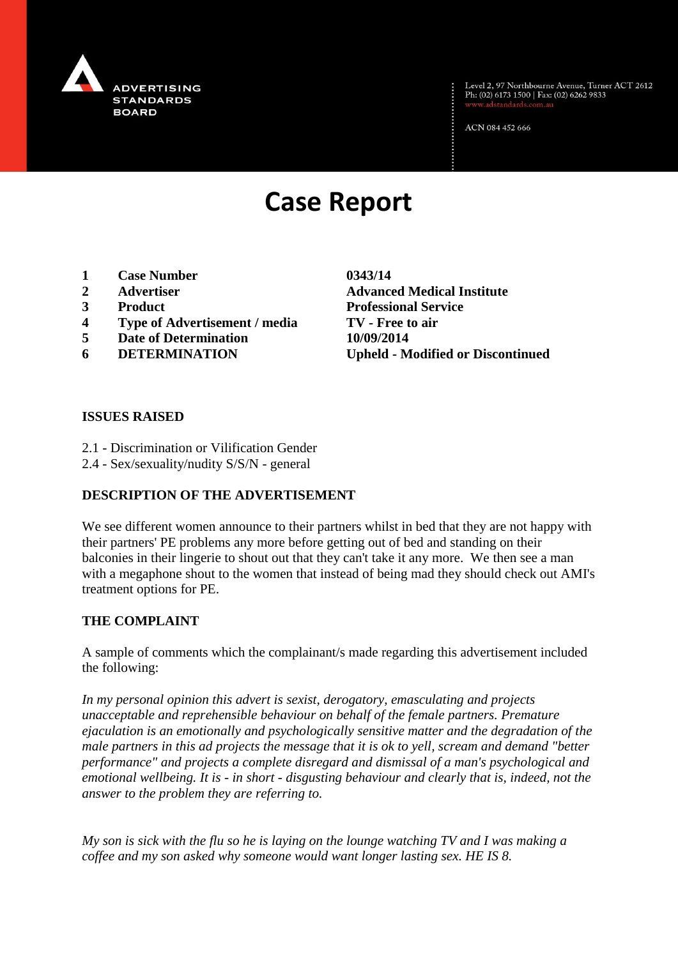

Level 2, 97 Northbourne Avenue, Turner ACT 2612<br>Ph: (02) 6173 1500 | Fax: (02) 6262 9833

ACN 084 452 666

# **Case Report**

- **1 Case Number 0343/14**
- 
- 
- **4 Type of Advertisement / media TV - Free to air**
- **5 Date of Determination 10/09/2014**
- 

**2 Advertiser Advanced Medical Institute 3 Product Professional Service 6 DETERMINATION Upheld - Modified or Discontinued**

#### **ISSUES RAISED**

- 2.1 Discrimination or Vilification Gender
- 2.4 Sex/sexuality/nudity S/S/N general

#### **DESCRIPTION OF THE ADVERTISEMENT**

We see different women announce to their partners whilst in bed that they are not happy with their partners' PE problems any more before getting out of bed and standing on their balconies in their lingerie to shout out that they can't take it any more. We then see a man with a megaphone shout to the women that instead of being mad they should check out AMI's treatment options for PE.

#### **THE COMPLAINT**

A sample of comments which the complainant/s made regarding this advertisement included the following:

*In my personal opinion this advert is sexist, derogatory, emasculating and projects unacceptable and reprehensible behaviour on behalf of the female partners. Premature ejaculation is an emotionally and psychologically sensitive matter and the degradation of the male partners in this ad projects the message that it is ok to yell, scream and demand "better performance" and projects a complete disregard and dismissal of a man's psychological and emotional wellbeing. It is - in short - disgusting behaviour and clearly that is, indeed, not the answer to the problem they are referring to.*

*My son is sick with the flu so he is laying on the lounge watching TV and I was making a coffee and my son asked why someone would want longer lasting sex. HE IS 8.*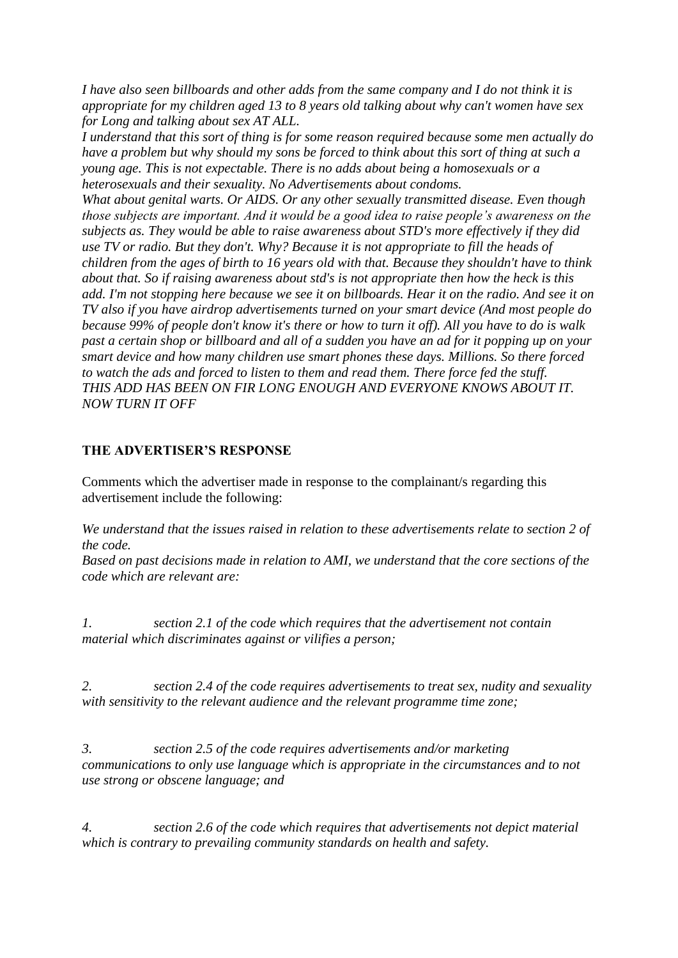*I have also seen billboards and other adds from the same company and I do not think it is appropriate for my children aged 13 to 8 years old talking about why can't women have sex for Long and talking about sex AT ALL.*

*I understand that this sort of thing is for some reason required because some men actually do have a problem but why should my sons be forced to think about this sort of thing at such a young age. This is not expectable. There is no adds about being a homosexuals or a heterosexuals and their sexuality. No Advertisements about condoms.*

*What about genital warts. Or AIDS. Or any other sexually transmitted disease. Even though those subjects are important. And it would be a good idea to raise people's awareness on the subjects as. They would be able to raise awareness about STD's more effectively if they did use TV or radio. But they don't. Why? Because it is not appropriate to fill the heads of children from the ages of birth to 16 years old with that. Because they shouldn't have to think about that. So if raising awareness about std's is not appropriate then how the heck is this add. I'm not stopping here because we see it on billboards. Hear it on the radio. And see it on TV also if you have airdrop advertisements turned on your smart device (And most people do because 99% of people don't know it's there or how to turn it off). All you have to do is walk past a certain shop or billboard and all of a sudden you have an ad for it popping up on your smart device and how many children use smart phones these days. Millions. So there forced to watch the ads and forced to listen to them and read them. There force fed the stuff. THIS ADD HAS BEEN ON FIR LONG ENOUGH AND EVERYONE KNOWS ABOUT IT. NOW TURN IT OFF*

### **THE ADVERTISER'S RESPONSE**

Comments which the advertiser made in response to the complainant/s regarding this advertisement include the following:

*We understand that the issues raised in relation to these advertisements relate to section 2 of the code.*

*Based on past decisions made in relation to AMI, we understand that the core sections of the code which are relevant are:*

*1. section 2.1 of the code which requires that the advertisement not contain material which discriminates against or vilifies a person;*

*2. section 2.4 of the code requires advertisements to treat sex, nudity and sexuality with sensitivity to the relevant audience and the relevant programme time zone;*

*3. section 2.5 of the code requires advertisements and/or marketing communications to only use language which is appropriate in the circumstances and to not use strong or obscene language; and*

*4. section 2.6 of the code which requires that advertisements not depict material which is contrary to prevailing community standards on health and safety.*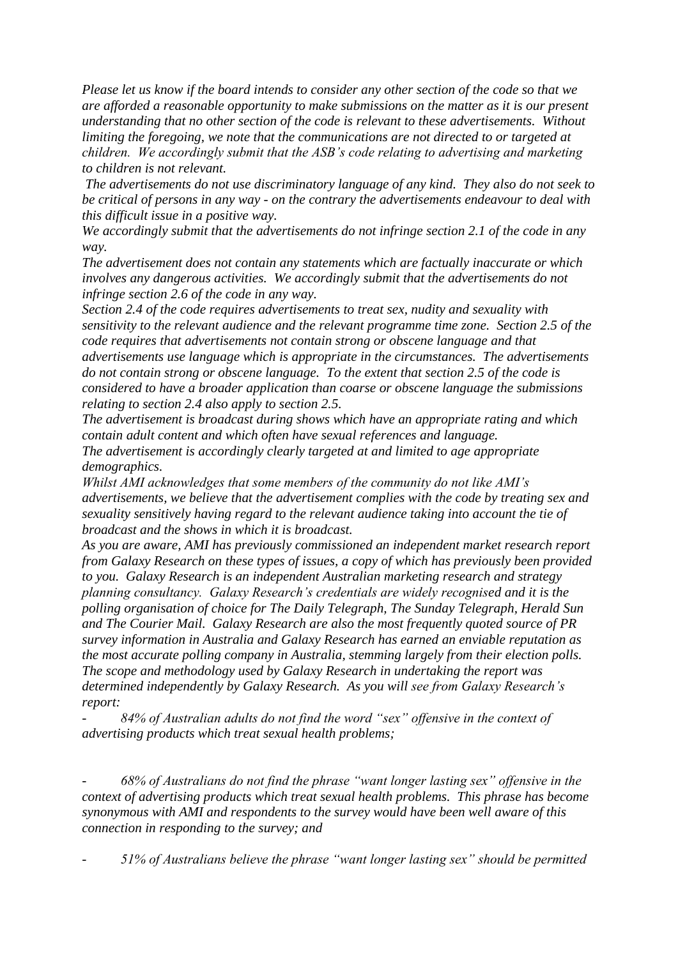*Please let us know if the board intends to consider any other section of the code so that we are afforded a reasonable opportunity to make submissions on the matter as it is our present understanding that no other section of the code is relevant to these advertisements. Without limiting the foregoing, we note that the communications are not directed to or targeted at children. We accordingly submit that the ASB's code relating to advertising and marketing to children is not relevant.*

*The advertisements do not use discriminatory language of any kind. They also do not seek to be critical of persons in any way - on the contrary the advertisements endeavour to deal with this difficult issue in a positive way.*

*We accordingly submit that the advertisements do not infringe section 2.1 of the code in any way.*

*The advertisement does not contain any statements which are factually inaccurate or which involves any dangerous activities. We accordingly submit that the advertisements do not infringe section 2.6 of the code in any way.*

*Section 2.4 of the code requires advertisements to treat sex, nudity and sexuality with sensitivity to the relevant audience and the relevant programme time zone. Section 2.5 of the code requires that advertisements not contain strong or obscene language and that advertisements use language which is appropriate in the circumstances. The advertisements do not contain strong or obscene language. To the extent that section 2.5 of the code is considered to have a broader application than coarse or obscene language the submissions relating to section 2.4 also apply to section 2.5.*

*The advertisement is broadcast during shows which have an appropriate rating and which contain adult content and which often have sexual references and language. The advertisement is accordingly clearly targeted at and limited to age appropriate demographics.*

*Whilst AMI acknowledges that some members of the community do not like AMI's advertisements, we believe that the advertisement complies with the code by treating sex and sexuality sensitively having regard to the relevant audience taking into account the tie of broadcast and the shows in which it is broadcast.*

*As you are aware, AMI has previously commissioned an independent market research report from Galaxy Research on these types of issues, a copy of which has previously been provided to you. Galaxy Research is an independent Australian marketing research and strategy planning consultancy. Galaxy Research's credentials are widely recognised and it is the polling organisation of choice for The Daily Telegraph, The Sunday Telegraph, Herald Sun and The Courier Mail. Galaxy Research are also the most frequently quoted source of PR survey information in Australia and Galaxy Research has earned an enviable reputation as the most accurate polling company in Australia, stemming largely from their election polls. The scope and methodology used by Galaxy Research in undertaking the report was determined independently by Galaxy Research. As you will see from Galaxy Research's report:*

*- 84% of Australian adults do not find the word "sex" offensive in the context of advertising products which treat sexual health problems;*

*- 68% of Australians do not find the phrase "want longer lasting sex" offensive in the context of advertising products which treat sexual health problems. This phrase has become synonymous with AMI and respondents to the survey would have been well aware of this connection in responding to the survey; and*

*- 51% of Australians believe the phrase "want longer lasting sex" should be permitted*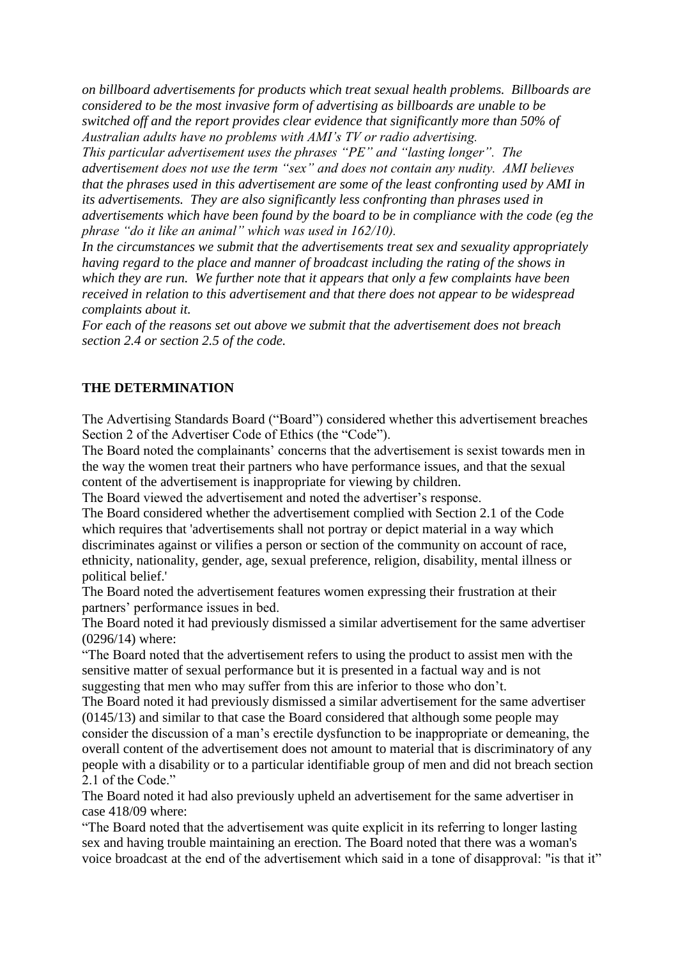*on billboard advertisements for products which treat sexual health problems. Billboards are considered to be the most invasive form of advertising as billboards are unable to be switched off and the report provides clear evidence that significantly more than 50% of Australian adults have no problems with AMI's TV or radio advertising.*

*This particular advertisement uses the phrases "PE" and "lasting longer". The advertisement does not use the term "sex" and does not contain any nudity. AMI believes that the phrases used in this advertisement are some of the least confronting used by AMI in its advertisements. They are also significantly less confronting than phrases used in advertisements which have been found by the board to be in compliance with the code (eg the phrase "do it like an animal" which was used in 162/10).*

*In the circumstances we submit that the advertisements treat sex and sexuality appropriately having regard to the place and manner of broadcast including the rating of the shows in which they are run. We further note that it appears that only a few complaints have been received in relation to this advertisement and that there does not appear to be widespread complaints about it.*

*For each of the reasons set out above we submit that the advertisement does not breach section 2.4 or section 2.5 of the code.*

#### **THE DETERMINATION**

The Advertising Standards Board ("Board") considered whether this advertisement breaches Section 2 of the Advertiser Code of Ethics (the "Code").

The Board noted the complainants' concerns that the advertisement is sexist towards men in the way the women treat their partners who have performance issues, and that the sexual content of the advertisement is inappropriate for viewing by children.

The Board viewed the advertisement and noted the advertiser's response.

The Board considered whether the advertisement complied with Section 2.1 of the Code which requires that 'advertisements shall not portray or depict material in a way which discriminates against or vilifies a person or section of the community on account of race, ethnicity, nationality, gender, age, sexual preference, religion, disability, mental illness or political belief.'

The Board noted the advertisement features women expressing their frustration at their partners' performance issues in bed.

The Board noted it had previously dismissed a similar advertisement for the same advertiser (0296/14) where:

"The Board noted that the advertisement refers to using the product to assist men with the sensitive matter of sexual performance but it is presented in a factual way and is not suggesting that men who may suffer from this are inferior to those who don't.

The Board noted it had previously dismissed a similar advertisement for the same advertiser (0145/13) and similar to that case the Board considered that although some people may consider the discussion of a man's erectile dysfunction to be inappropriate or demeaning, the overall content of the advertisement does not amount to material that is discriminatory of any people with a disability or to a particular identifiable group of men and did not breach section 2.1 of the Code."

The Board noted it had also previously upheld an advertisement for the same advertiser in case 418/09 where:

"The Board noted that the advertisement was quite explicit in its referring to longer lasting sex and having trouble maintaining an erection. The Board noted that there was a woman's voice broadcast at the end of the advertisement which said in a tone of disapproval: "is that it"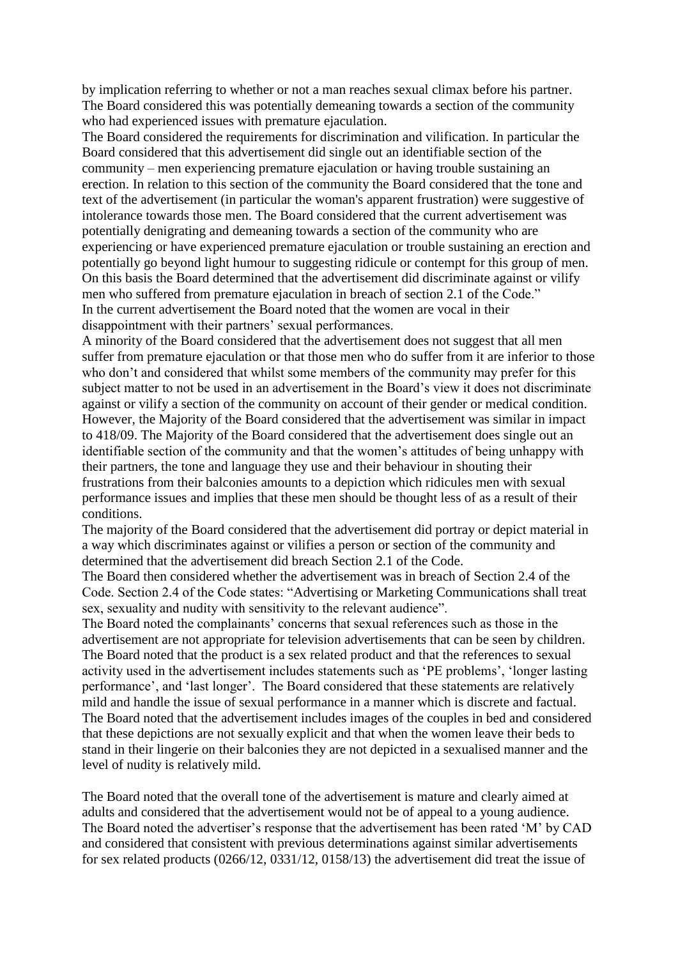by implication referring to whether or not a man reaches sexual climax before his partner. The Board considered this was potentially demeaning towards a section of the community who had experienced issues with premature ejaculation.

The Board considered the requirements for discrimination and vilification. In particular the Board considered that this advertisement did single out an identifiable section of the community – men experiencing premature ejaculation or having trouble sustaining an erection. In relation to this section of the community the Board considered that the tone and text of the advertisement (in particular the woman's apparent frustration) were suggestive of intolerance towards those men. The Board considered that the current advertisement was potentially denigrating and demeaning towards a section of the community who are experiencing or have experienced premature ejaculation or trouble sustaining an erection and potentially go beyond light humour to suggesting ridicule or contempt for this group of men. On this basis the Board determined that the advertisement did discriminate against or vilify men who suffered from premature ejaculation in breach of section 2.1 of the Code." In the current advertisement the Board noted that the women are vocal in their disappointment with their partners' sexual performances.

A minority of the Board considered that the advertisement does not suggest that all men suffer from premature ejaculation or that those men who do suffer from it are inferior to those who don't and considered that whilst some members of the community may prefer for this subject matter to not be used in an advertisement in the Board's view it does not discriminate against or vilify a section of the community on account of their gender or medical condition. However, the Majority of the Board considered that the advertisement was similar in impact to 418/09. The Majority of the Board considered that the advertisement does single out an identifiable section of the community and that the women's attitudes of being unhappy with their partners, the tone and language they use and their behaviour in shouting their frustrations from their balconies amounts to a depiction which ridicules men with sexual performance issues and implies that these men should be thought less of as a result of their conditions.

The majority of the Board considered that the advertisement did portray or depict material in a way which discriminates against or vilifies a person or section of the community and determined that the advertisement did breach Section 2.1 of the Code.

The Board then considered whether the advertisement was in breach of Section 2.4 of the Code. Section 2.4 of the Code states: "Advertising or Marketing Communications shall treat sex, sexuality and nudity with sensitivity to the relevant audience".

The Board noted the complainants' concerns that sexual references such as those in the advertisement are not appropriate for television advertisements that can be seen by children. The Board noted that the product is a sex related product and that the references to sexual activity used in the advertisement includes statements such as 'PE problems', 'longer lasting performance', and 'last longer'. The Board considered that these statements are relatively mild and handle the issue of sexual performance in a manner which is discrete and factual. The Board noted that the advertisement includes images of the couples in bed and considered that these depictions are not sexually explicit and that when the women leave their beds to stand in their lingerie on their balconies they are not depicted in a sexualised manner and the level of nudity is relatively mild.

The Board noted that the overall tone of the advertisement is mature and clearly aimed at adults and considered that the advertisement would not be of appeal to a young audience. The Board noted the advertiser's response that the advertisement has been rated 'M' by CAD and considered that consistent with previous determinations against similar advertisements for sex related products (0266/12, 0331/12, 0158/13) the advertisement did treat the issue of